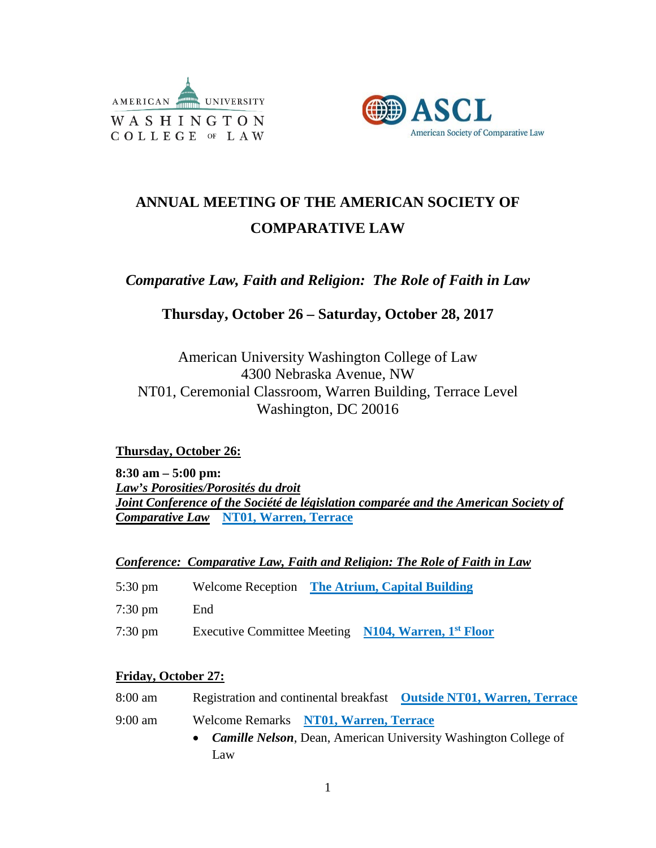



# **ANNUAL MEETING OF THE AMERICAN SOCIETY OF COMPARATIVE LAW**

*Comparative Law, Faith and Religion: The Role of Faith in Law*

## **Thursday, October 26 – Saturday, October 28, 2017**

## American University Washington College of Law 4300 Nebraska Avenue, NW NT01, Ceremonial Classroom, Warren Building, Terrace Level Washington, DC 20016

#### **Thursday, October 26:**

**8:30 am – 5:00 pm:**  *Law's Porosities/Porosités du droit Joint Conference of the Société de législation comparée and the American Society of Comparative Law* **NT01, Warren, Terrace**

*Conference: Comparative Law, Faith and Religion: The Role of Faith in Law*

| $5:30 \text{ pm}$ | <b>Welcome Reception</b> | <b>The Atrium, Capital Building</b> |
|-------------------|--------------------------|-------------------------------------|
| $7:30 \text{ pm}$ | End                      |                                     |

7:30 pm Executive Committee Meeting **N104, Warren, 1st Floor**

### **Friday, October 27:**

| 8:00 am           | Registration and continental breakfast Outside NT01, Warren, Terrace      |
|-------------------|---------------------------------------------------------------------------|
| $9:00 \text{ am}$ | Welcome Remarks NT01, Warren, Terrace                                     |
|                   | • <i>Camille Nelson</i> , Dean, American University Washington College of |
|                   | Law                                                                       |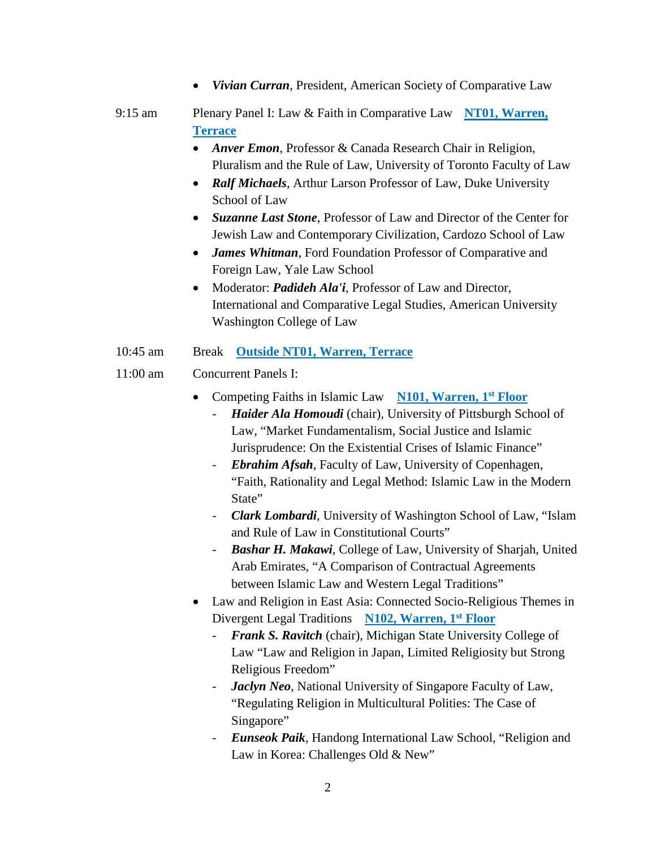- *Vivian Curran*, President, American Society of Comparative Law
- 9:15 am Plenary Panel I: Law & Faith in Comparative Law **NT01, Warren, Terrace**
	- *Anver Emon*, Professor & Canada Research Chair in Religion, Pluralism and the Rule of Law, University of Toronto Faculty of Law
	- *Ralf Michaels*, Arthur Larson Professor of Law, Duke University School of Law
	- *Suzanne Last Stone*, Professor of Law and Director of the Center for Jewish Law and Contemporary Civilization, Cardozo School of Law
	- *James Whitman*, Ford Foundation Professor of Comparative and Foreign Law, Yale Law School
	- Moderator: *Padideh Ala'i*, Professor of Law and Director, International and Comparative Legal Studies, American University Washington College of Law
- 10:45 am Break **Outside NT01, Warren, Terrace**
- 11:00 am Concurrent Panels I:
	- Competing Faiths in Islamic Law **N101, Warren, 1st Floor**
		- *Haider Ala Homoudi* (chair), University of Pittsburgh School of Law, "Market Fundamentalism, Social Justice and Islamic Jurisprudence: On the Existential Crises of Islamic Finance"
		- *Ebrahim Afsah*, Faculty of Law, University of Copenhagen, "Faith, Rationality and Legal Method: Islamic Law in the Modern State"
		- *Clark Lombardi*, University of Washington School of Law, "Islam and Rule of Law in Constitutional Courts"
		- *Bashar H. Makawi*, College of Law, University of Sharjah, United Arab Emirates, "A Comparison of Contractual Agreements between Islamic Law and Western Legal Traditions"
	- Law and Religion in East Asia: Connected Socio-Religious Themes in Divergent Legal Traditions **N102, Warren, 1st Floor**
		- *Frank S. Ravitch* (chair), Michigan State University College of Law "Law and Religion in Japan, Limited Religiosity but Strong Religious Freedom"
		- *Jaclyn Neo*, National University of Singapore Faculty of Law, "Regulating Religion in Multicultural Polities: The Case of Singapore"
		- *Eunseok Paik*, Handong International Law School, "Religion and Law in Korea: Challenges Old & New"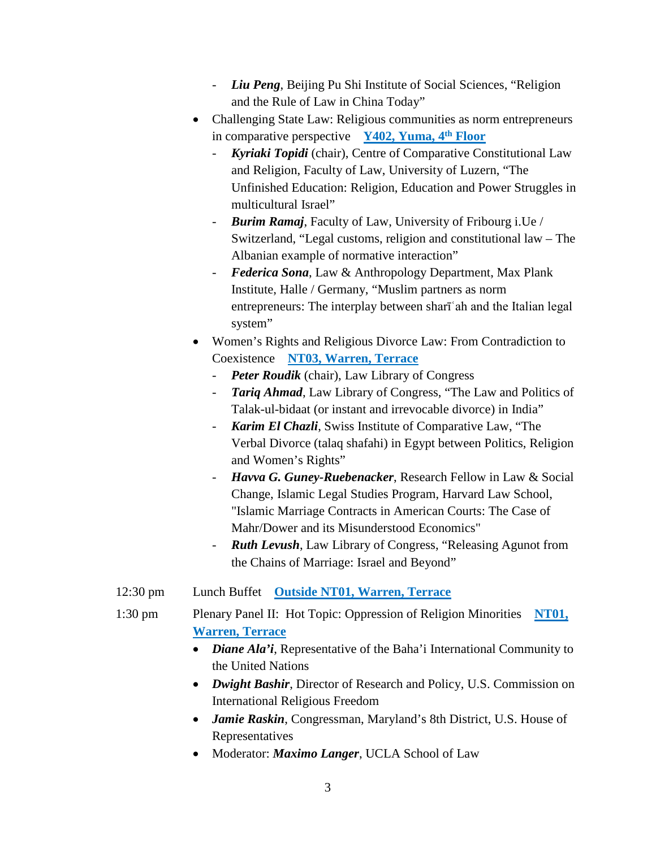- *Liu Peng*, Beijing Pu Shi Institute of Social Sciences, "Religion and the Rule of Law in China Today"
- Challenging State Law: Religious communities as norm entrepreneurs in comparative perspective **Y402, Yuma, 4th Floor**
	- *Kyriaki Topidi* (chair), Centre of Comparative Constitutional Law and Religion, Faculty of Law, University of Luzern, "The Unfinished Education: Religion, Education and Power Struggles in multicultural Israel"
	- *Burim Ramaj*, Faculty of Law, University of Fribourg i.Ue / Switzerland, "Legal customs, religion and constitutional law – The Albanian example of normative interaction"
	- *Federica Sona*, Law & Anthropology Department, Max Plank Institute, Halle / Germany, "Muslim partners as norm entrepreneurs: The interplay between sharīʿah and the Italian legal system"
- Women's Rights and Religious Divorce Law: From Contradiction to Coexistence **NT03, Warren, Terrace**
	- *Peter Roudik* (chair), Law Library of Congress
	- *Tariq Ahmad*, Law Library of Congress, "The Law and Politics of Talak-ul-bidaat (or instant and irrevocable divorce) in India"
	- *Karim El Chazli*, Swiss Institute of Comparative Law, "The Verbal Divorce (talaq shafahi) in Egypt between Politics, Religion and Women's Rights"
	- *Havva G. Guney-Ruebenacker*, Research Fellow in Law & Social Change, Islamic Legal Studies Program, Harvard Law School, "Islamic Marriage Contracts in American Courts: The Case of Mahr/Dower and its Misunderstood Economics"
	- *Ruth Levush*, Law Library of Congress, "Releasing Agunot from the Chains of Marriage: Israel and Beyond"
- 12:30 pm Lunch Buffet **Outside NT01, Warren, Terrace**
- 1:30 pm Plenary Panel II: Hot Topic: Oppression of Religion Minorities **NT01, Warren, Terrace**
	- *Diane Ala'i*, Representative of the Baha'i International Community to the United Nations
	- *Dwight Bashir*, Director of Research and Policy, U.S. Commission on International Religious Freedom
	- *Jamie Raskin*, Congressman, Maryland's 8th District, U.S. House of Representatives
	- Moderator: *Maximo Langer*, UCLA School of Law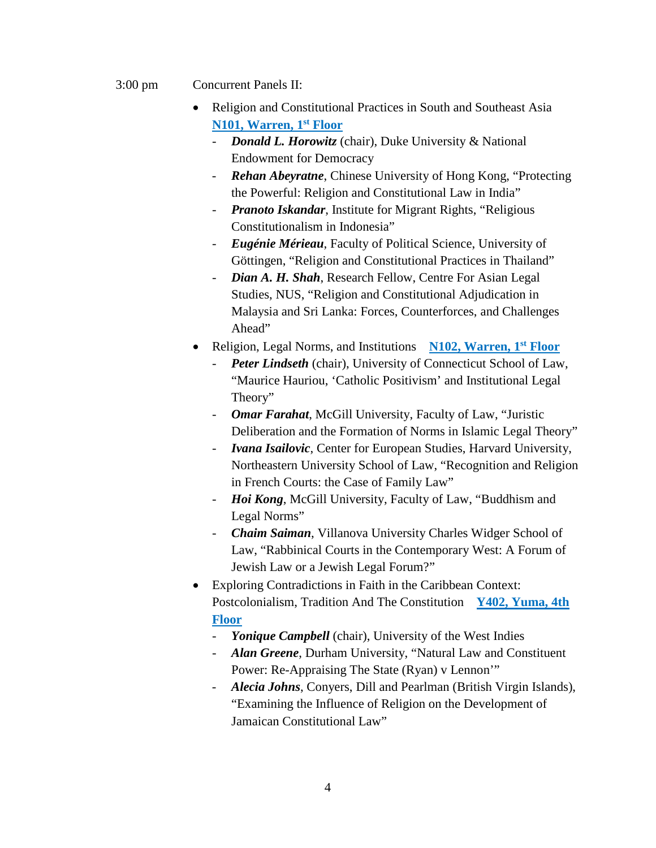#### 3:00 pm Concurrent Panels II:

- Religion and Constitutional Practices in South and Southeast Asia **N101, Warren, 1st Floor**
	- *Donald L. Horowitz* (chair), Duke University & National Endowment for Democracy
	- *Rehan Abeyratne*, Chinese University of Hong Kong, "Protecting the Powerful: Religion and Constitutional Law in India"
	- *Pranoto Iskandar*, Institute for Migrant Rights, "Religious Constitutionalism in Indonesia"
	- *Eugénie Mérieau*, Faculty of Political Science, University of Göttingen, "Religion and Constitutional Practices in Thailand"
	- *Dian A. H. Shah*, Research Fellow, Centre For Asian Legal Studies, NUS, "Religion and Constitutional Adjudication in Malaysia and Sri Lanka: Forces, Counterforces, and Challenges Ahead"
- Religion, Legal Norms, and Institutions **N102, Warren, 1st Floor**
	- *Peter Lindseth* (chair), University of Connecticut School of Law, "Maurice Hauriou, 'Catholic Positivism' and Institutional Legal Theory"
	- *Omar Farahat*, McGill University, Faculty of Law, "Juristic Deliberation and the Formation of Norms in Islamic Legal Theory"
	- *Ivana Isailovic*, Center for European Studies, Harvard University, Northeastern University School of Law, "Recognition and Religion in French Courts: the Case of Family Law"
	- *Hoi Kong*, McGill University, Faculty of Law, "Buddhism and Legal Norms"
	- *Chaim Saiman*, Villanova University Charles Widger School of Law, "Rabbinical Courts in the Contemporary West: A Forum of Jewish Law or a Jewish Legal Forum?"
- Exploring Contradictions in Faith in the Caribbean Context: Postcolonialism, Tradition And The Constitution **Y402, Yuma, 4th Floor**
	- Yonique Campbell (chair), University of the West Indies
	- *Alan Greene*, Durham University, "Natural Law and Constituent Power: Re-Appraising The State (Ryan) v Lennon'"
	- *Alecia Johns*, Conyers, Dill and Pearlman (British Virgin Islands), "Examining the Influence of Religion on the Development of Jamaican Constitutional Law"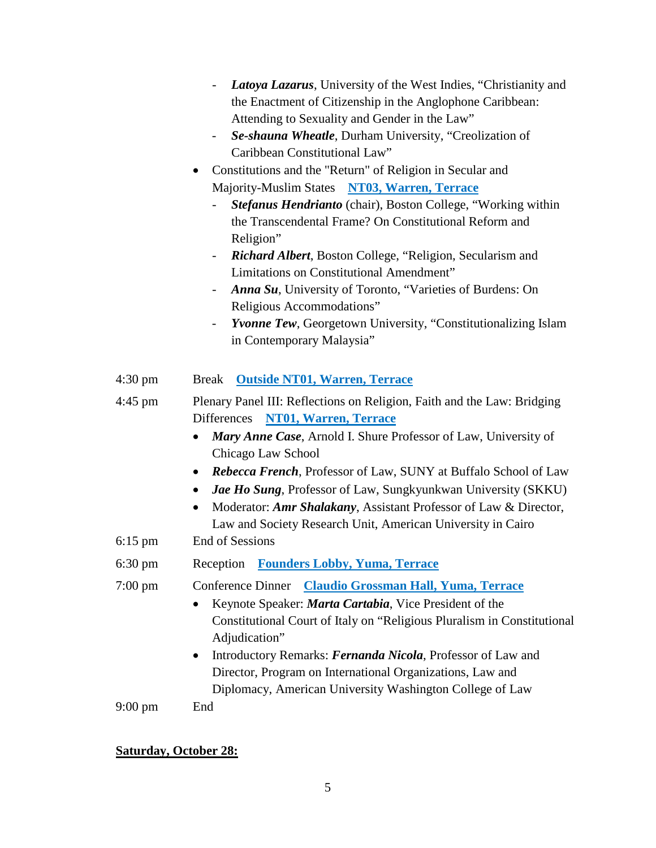|                   | Latoya Lazarus, University of the West Indies, "Christianity and<br>$\overline{\phantom{a}}$<br>the Enactment of Citizenship in the Anglophone Caribbean:<br>Attending to Sexuality and Gender in the Law"<br>Se-shauna Wheatle, Durham University, "Creolization of<br>$\blacksquare$<br>Caribbean Constitutional Law"<br>Constitutions and the "Return" of Religion in Secular and<br>$\bullet$<br>Majority-Muslim States NT03, Warren, Terrace<br>Stefanus Hendrianto (chair), Boston College, "Working within<br>the Transcendental Frame? On Constitutional Reform and<br>Religion"<br><b>Richard Albert, Boston College, "Religion, Secularism and</b><br><b>Limitations on Constitutional Amendment"</b><br>Anna Su, University of Toronto, "Varieties of Burdens: On<br>$\overline{\phantom{a}}$<br>Religious Accommodations"<br>Yvonne Tew, Georgetown University, "Constitutionalizing Islam<br>$\sim$<br>in Contemporary Malaysia" |
|-------------------|-----------------------------------------------------------------------------------------------------------------------------------------------------------------------------------------------------------------------------------------------------------------------------------------------------------------------------------------------------------------------------------------------------------------------------------------------------------------------------------------------------------------------------------------------------------------------------------------------------------------------------------------------------------------------------------------------------------------------------------------------------------------------------------------------------------------------------------------------------------------------------------------------------------------------------------------------|
| $4:30 \text{ pm}$ | <b>Outside NT01, Warren, Terrace</b><br><b>Break</b>                                                                                                                                                                                                                                                                                                                                                                                                                                                                                                                                                                                                                                                                                                                                                                                                                                                                                          |
| $4:45$ pm         | Plenary Panel III: Reflections on Religion, Faith and the Law: Bridging<br><b>Differences</b><br><b>NT01, Warren, Terrace</b><br>Mary Anne Case, Arnold I. Shure Professor of Law, University of<br>Chicago Law School<br><b>Rebecca French, Professor of Law, SUNY at Buffalo School of Law</b><br>$\bullet$<br>Jae Ho Sung, Professor of Law, Sungkyunkwan University (SKKU)<br>$\bullet$<br>Moderator: Amr Shalakany, Assistant Professor of Law & Director,<br>٠<br>Law and Society Research Unit, American University in Cairo                                                                                                                                                                                                                                                                                                                                                                                                           |
| $6:15$ pm         | <b>End of Sessions</b>                                                                                                                                                                                                                                                                                                                                                                                                                                                                                                                                                                                                                                                                                                                                                                                                                                                                                                                        |
| $6:30 \text{ pm}$ | <b>Founders Lobby, Yuma, Terrace</b><br>Reception                                                                                                                                                                                                                                                                                                                                                                                                                                                                                                                                                                                                                                                                                                                                                                                                                                                                                             |
| $7:00 \text{ pm}$ | Conference Dinner<br><b>Claudio Grossman Hall, Yuma, Terrace</b><br>Keynote Speaker: Marta Cartabia, Vice President of the<br>Constitutional Court of Italy on "Religious Pluralism in Constitutional<br>Adjudication"<br>Introductory Remarks: Fernanda Nicola, Professor of Law and<br>Director, Program on International Organizations, Law and<br>Diplomacy, American University Washington College of Law                                                                                                                                                                                                                                                                                                                                                                                                                                                                                                                                |
| $9:00 \text{ pm}$ | End                                                                                                                                                                                                                                                                                                                                                                                                                                                                                                                                                                                                                                                                                                                                                                                                                                                                                                                                           |

## **Saturday, October 28:**